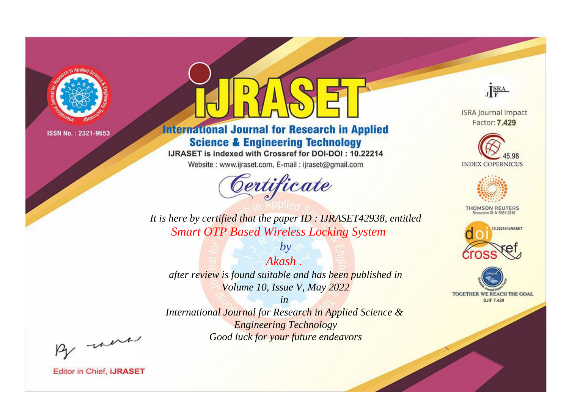

# **International Journal for Research in Applied Science & Engineering Technology**

IJRASET is indexed with Crossref for DOI-DOI: 10.22214

Website: www.ijraset.com, E-mail: ijraset@gmail.com



JERA

**ISRA Journal Impact** Factor: 7.429





**THOMSON REUTERS** 



TOGETHER WE REACH THE GOAL **SJIF 7.429** 

*It is here by certified that the paper ID : IJRASET42938, entitled Smart OTP Based Wireless Locking System*

*Akash . after review is found suitable and has been published in Volume 10, Issue V, May 2022*

*by*

*in* 

*International Journal for Research in Applied Science & Engineering Technology Good luck for your future endeavors*

By morn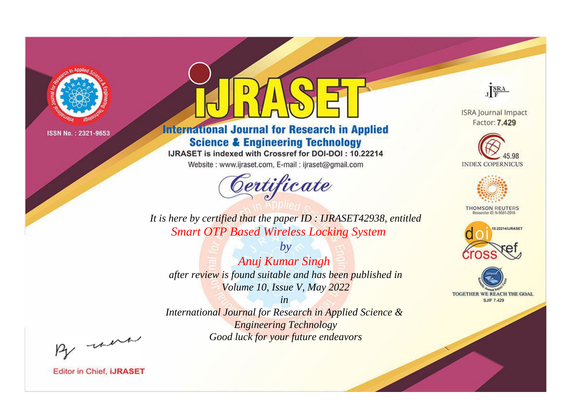

# **International Journal for Research in Applied Science & Engineering Technology**

IJRASET is indexed with Crossref for DOI-DOI: 10.22214

Website: www.ijraset.com, E-mail: ijraset@gmail.com



JERA

**ISRA Journal Impact** Factor: 7.429





**THOMSON REUTERS** 



TOGETHER WE REACH THE GOAL **SJIF 7.429** 

It is here by certified that the paper ID: IJRASET42938, entitled **Smart OTP Based Wireless Locking System** 

Anuj Kumar Singh after review is found suitable and has been published in Volume 10, Issue V, May 2022

 $by$ 

 $in$ International Journal for Research in Applied Science & **Engineering Technology** Good luck for your future endeavors

By morn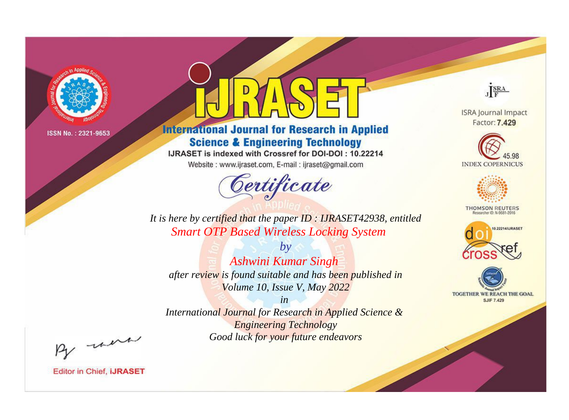

# **International Journal for Research in Applied Science & Engineering Technology**

IJRASET is indexed with Crossref for DOI-DOI: 10.22214

Website: www.ijraset.com, E-mail: ijraset@gmail.com



JERA

**ISRA Journal Impact** Factor: 7.429





**THOMSON REUTERS** 



TOGETHER WE REACH THE GOAL **SJIF 7.429** 

*It is here by certified that the paper ID : IJRASET42938, entitled Smart OTP Based Wireless Locking System*

*by Ashwini Kumar Singh after review is found suitable and has been published in Volume 10, Issue V, May 2022*

*in* 

*International Journal for Research in Applied Science & Engineering Technology Good luck for your future endeavors*

By morn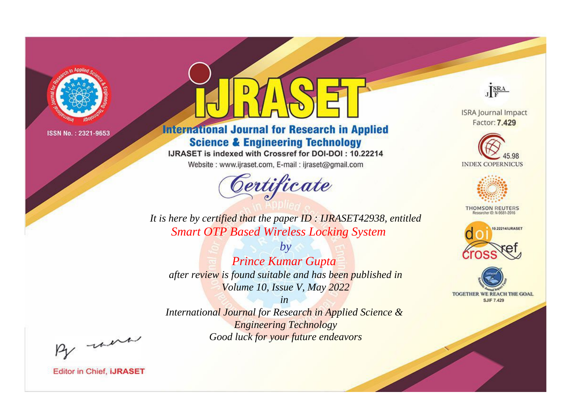

# **International Journal for Research in Applied Science & Engineering Technology**

IJRASET is indexed with Crossref for DOI-DOI: 10.22214

Website: www.ijraset.com, E-mail: ijraset@gmail.com



JERA

**ISRA Journal Impact** Factor: 7.429





**THOMSON REUTERS** 



TOGETHER WE REACH THE GOAL **SJIF 7.429** 

It is here by certified that the paper ID: IJRASET42938, entitled **Smart OTP Based Wireless Locking System** 

 $by$ **Prince Kumar Gupta** after review is found suitable and has been published in Volume 10, Issue V, May 2022

 $in$ International Journal for Research in Applied Science & **Engineering Technology** Good luck for your future endeavors

By morn